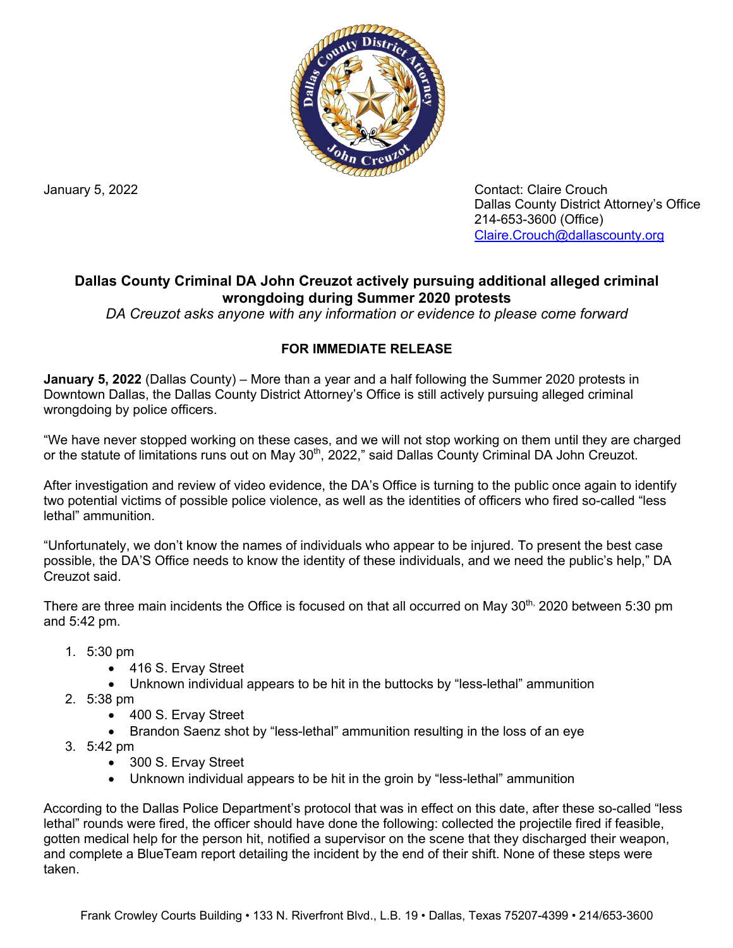

January 5, 2022 **Contact: Claire Crouch** Dallas County District Attorney's Office 214-653-3600 (Office) [Claire.Crouch@dallascounty.org](mailto:Claire.Crouch@dallascounty.org)

## **Dallas County Criminal DA John Creuzot actively pursuing additional alleged criminal wrongdoing during Summer 2020 protests**

*DA Creuzot asks anyone with any information or evidence to please come forward*

## **FOR IMMEDIATE RELEASE**

**January 5, 2022** (Dallas County) – More than a year and a half following the Summer 2020 protests in Downtown Dallas, the Dallas County District Attorney's Office is still actively pursuing alleged criminal wrongdoing by police officers.

"We have never stopped working on these cases, and we will not stop working on them until they are charged or the statute of limitations runs out on May 30<sup>th</sup>, 2022," said Dallas County Criminal DA John Creuzot.

After investigation and review of video evidence, the DA's Office is turning to the public once again to identify two potential victims of possible police violence, as well as the identities of officers who fired so-called "less lethal" ammunition.

"Unfortunately, we don't know the names of individuals who appear to be injured. To present the best case possible, the DA'S Office needs to know the identity of these individuals, and we need the public's help," DA Creuzot said.

There are three main incidents the Office is focused on that all occurred on May 30<sup>th,</sup> 2020 between 5:30 pm and 5:42 pm.

- 1. 5:30 pm
	- 416 S. Ervay Street
	- Unknown individual appears to be hit in the buttocks by "less-lethal" ammunition
- 2. 5:38 pm
	- 400 S. Ervay Street
	- Brandon Saenz shot by "less-lethal" ammunition resulting in the loss of an eye
- 3. 5:42 pm
	- 300 S. Ervay Street
	- Unknown individual appears to be hit in the groin by "less-lethal" ammunition

According to the Dallas Police Department's protocol that was in effect on this date, after these so-called "less lethal" rounds were fired, the officer should have done the following: collected the projectile fired if feasible, gotten medical help for the person hit, notified a supervisor on the scene that they discharged their weapon, and complete a BlueTeam report detailing the incident by the end of their shift. None of these steps were taken.